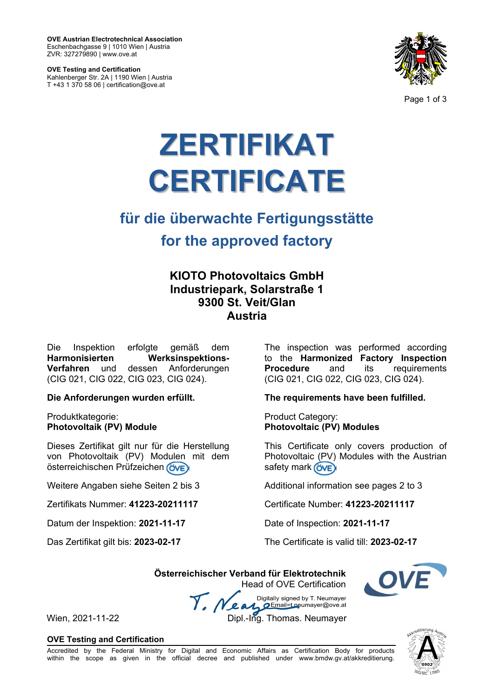**OVE Austrian Electrotechnical Association**  Eschenbachgasse 9 | 1010 Wien | Austria ZVR: 327279890 | www.ove.at

**OVE Testing and Certification**  Kahlenberger Str. 2A | 1190 Wien | Austria T +43 1 370 58 06 | certification@ove.at



Page 1 of 3

# **ZERTIFIKAT CERTIFICATE**

# **für die überwachte Fertigungsstätte for the approved factory**

## **KIOTO Photovoltaics GmbH Industriepark, Solarstraße 1 9300 St. Veit/Glan Austria**

Die Inspektion erfolgte gemäß dem **Harmonisierten Werksinspektions-Verfahren** und dessen Anforderungen (CIG 021, CIG 022, CIG 023, CIG 024).

**Die Anforderungen wurden erfüllt.** 

Produktkategorie: **Photovoltaik (PV) Module** 

Dieses Zertifikat gilt nur für die Herstellung von Photovoltaik (PV) Modulen mit dem österreichischen Prüfzeichen ÖVE

Weitere Angaben siehe Seiten 2 bis 3

Zertifikats Nummer: **41223-20211117** 

Datum der Inspektion: **2021-11-17** 

Das Zertifikat gilt bis: **2023-02-17**

The inspection was performed according to the **Harmonized Factory Inspection**  and its requirements (CIG 021, CIG 022, CIG 023, CIG 024).

**The requirements have been fulfilled.** 

Product Category: **Photovoltaic (PV) Modules** 

This Certificate only covers production of Photovoltaic (PV) Modules with the Austrian safety mark (OVE)

Additional information see pages 2 to 3

Certificate Number: **41223-20211117** 

Date of Inspection: **2021-11-17** 

The Certificate is valid till: **2023-02-17** 

 **Österreichischer Verband für Elektrotechnik**  Head of OVE Certification

Digitally signed by T. Neumayer Y. Nea Email=t.neumayer@ove.at Wien, 2021-11-22 Dipl.-Ing. Thomas. Neumayer

**OVE Testing and Certification**

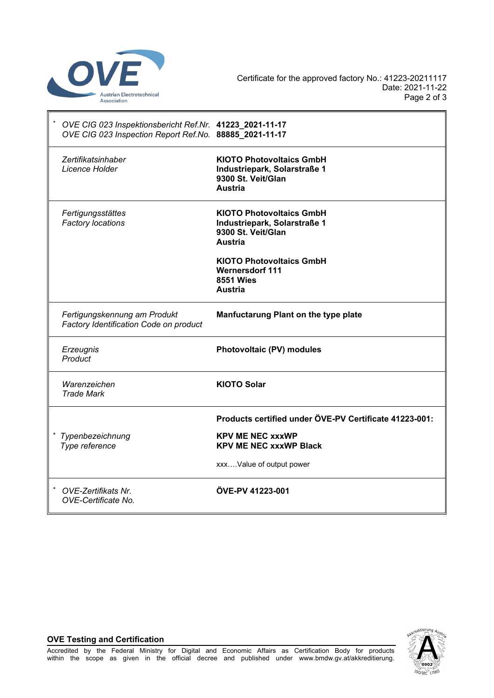

| OVE CIG 023 Inspektionsbericht Ref.Nr. 41223_2021-11-17<br>OVE CIG 023 Inspection Report Ref.No. 88885_2021-11-17 |                                                                                                         |  |
|-------------------------------------------------------------------------------------------------------------------|---------------------------------------------------------------------------------------------------------|--|
| Zertifikatsinhaber<br>Licence Holder                                                                              | <b>KIOTO Photovoltaics GmbH</b><br>Industriepark, Solarstraße 1<br>9300 St. Veit/Glan<br><b>Austria</b> |  |
| Fertigungsstättes<br>Factory locations                                                                            | <b>KIOTO Photovoltaics GmbH</b><br>Industriepark, Solarstraße 1<br>9300 St. Veit/Glan<br><b>Austria</b> |  |
|                                                                                                                   | <b>KIOTO Photovoltaics GmbH</b><br><b>Wernersdorf 111</b><br><b>8551 Wies</b><br>Austria                |  |
| Fertigungskennung am Produkt<br>Factory Identification Code on product                                            | Manfuctarung Plant on the type plate                                                                    |  |
| Erzeugnis<br>Product                                                                                              | Photovoltaic (PV) modules                                                                               |  |
| Warenzeichen<br><b>Trade Mark</b>                                                                                 | <b>KIOTO Solar</b>                                                                                      |  |
|                                                                                                                   | Products certified under ÖVE-PV Certificate 41223-001:                                                  |  |
| Typenbezeichnung<br>Type reference                                                                                | <b>KPV ME NEC xxxWP</b><br><b>KPV ME NEC xxxWP Black</b>                                                |  |
|                                                                                                                   | xxxValue of output power                                                                                |  |
| OVE-Zertifikats Nr.<br>OVE-Certificate No.                                                                        | ÖVE-PV 41223-001                                                                                        |  |

### **OVE Testing and Certification**